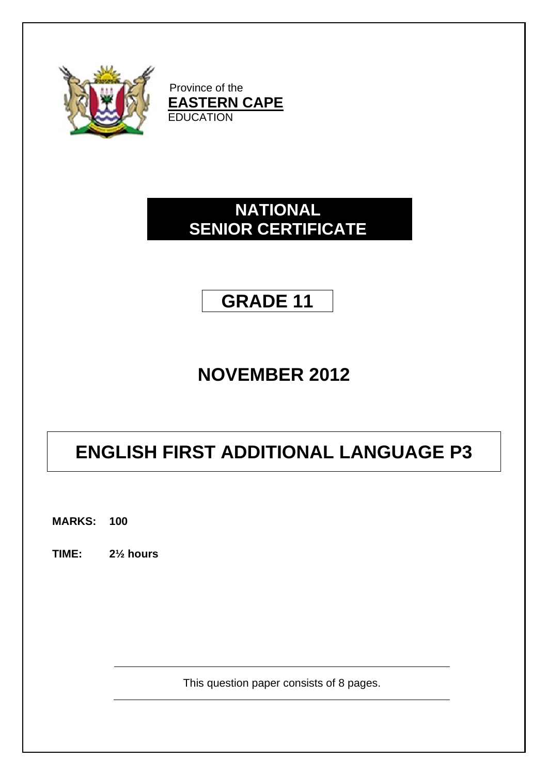

Province of the **EASTERN CAPE EDUCATION** 

## **NATIONAL SENIOR CERTIFICATE**

## **GRADE 11**

# **NOVEMBER 2012**

# **ENGLISH FIRST ADDITIONAL LANGUAGE P3**

**MARKS: 100**

**TIME: 2½ hours**

This question paper consists of 8 pages.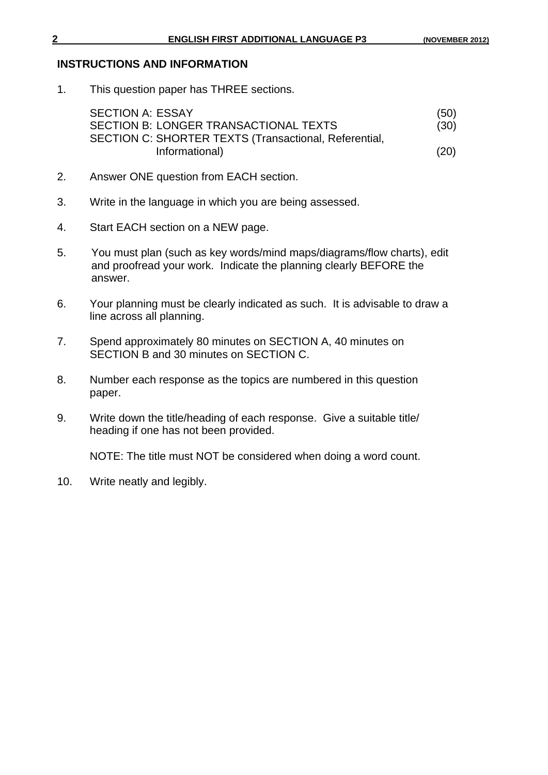### **INSTRUCTIONS AND INFORMATION**

1. This question paper has THREE sections.

| <b>SECTION A: ESSAY</b>                               | (50) |
|-------------------------------------------------------|------|
| SECTION B: LONGER TRANSACTIONAL TEXTS                 | (30) |
| SECTION C: SHORTER TEXTS (Transactional, Referential, |      |
| Informational)                                        | (20) |

- 2. Answer ONE question from EACH section.
- 3. Write in the language in which you are being assessed.
- 4. Start EACH section on a NEW page.
- 5. You must plan (such as key words/mind maps/diagrams/flow charts), edit and proofread your work. Indicate the planning clearly BEFORE the answer.
- 6. Your planning must be clearly indicated as such. It is advisable to draw a line across all planning.
- 7. Spend approximately 80 minutes on SECTION A, 40 minutes on SECTION B and 30 minutes on SECTION C.
- 8. Number each response as the topics are numbered in this question paper.
- 9. Write down the title/heading of each response. Give a suitable title/ heading if one has not been provided.

NOTE: The title must NOT be considered when doing a word count.

10. Write neatly and legibly.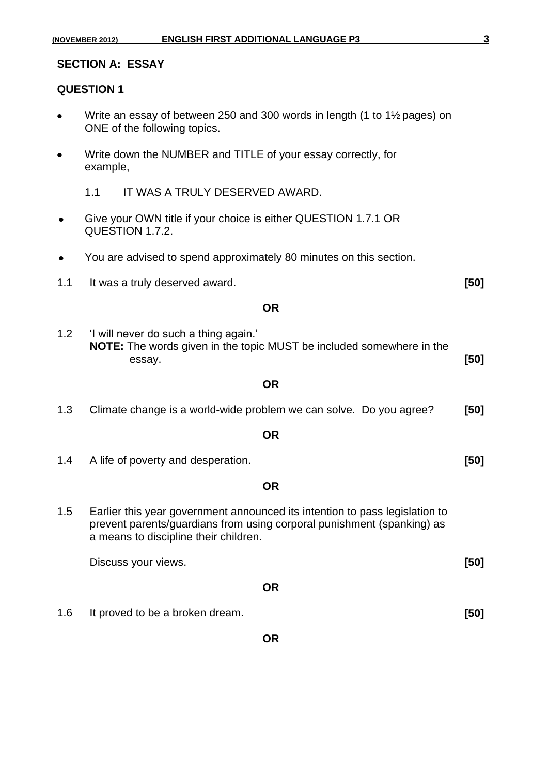|           | (NOVEMBER 2012)   | <b>ENGLISH FIRST ADDITIONAL LANGUAGE P3</b>                                                                                                                                                    | $\overline{3}$ |  |
|-----------|-------------------|------------------------------------------------------------------------------------------------------------------------------------------------------------------------------------------------|----------------|--|
|           |                   | <b>SECTION A: ESSAY</b>                                                                                                                                                                        |                |  |
|           | <b>QUESTION 1</b> |                                                                                                                                                                                                |                |  |
|           |                   | Write an essay of between 250 and 300 words in length (1 to $1\frac{1}{2}$ pages) on<br>ONE of the following topics.                                                                           |                |  |
|           | example,          | Write down the NUMBER and TITLE of your essay correctly, for                                                                                                                                   |                |  |
|           | 1.1               | IT WAS A TRULY DESERVED AWARD.                                                                                                                                                                 |                |  |
|           |                   | Give your OWN title if your choice is either QUESTION 1.7.1 OR<br>QUESTION 1.7.2.                                                                                                              |                |  |
|           |                   | You are advised to spend approximately 80 minutes on this section.                                                                                                                             |                |  |
| 1.1       |                   | It was a truly deserved award.                                                                                                                                                                 | [50]           |  |
|           |                   | <b>OR</b>                                                                                                                                                                                      |                |  |
| 1.2       |                   | 'I will never do such a thing again.'<br>NOTE: The words given in the topic MUST be included somewhere in the<br>essay.                                                                        | $[50]$         |  |
|           |                   | <b>OR</b>                                                                                                                                                                                      |                |  |
| 1.3       |                   | Climate change is a world-wide problem we can solve. Do you agree?                                                                                                                             | [50]           |  |
|           |                   | <b>OR</b>                                                                                                                                                                                      |                |  |
| 1.4       |                   | A life of poverty and desperation.                                                                                                                                                             | [50]           |  |
|           |                   | <b>OR</b>                                                                                                                                                                                      |                |  |
| 1.5       |                   | Earlier this year government announced its intention to pass legislation to<br>prevent parents/guardians from using corporal punishment (spanking) as<br>a means to discipline their children. |                |  |
|           |                   | Discuss your views.                                                                                                                                                                            | [50]           |  |
| <b>OR</b> |                   |                                                                                                                                                                                                |                |  |
| 1.6       |                   | It proved to be a broken dream.                                                                                                                                                                | $[50]$         |  |
|           |                   | <b>OR</b>                                                                                                                                                                                      |                |  |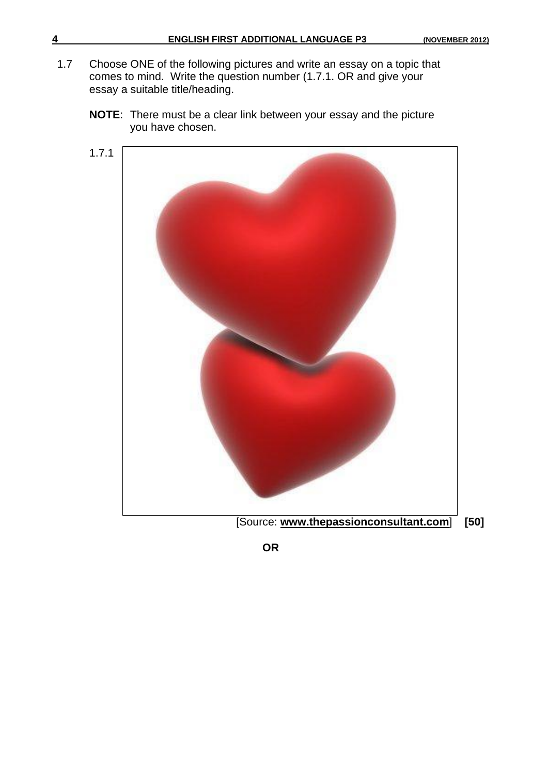- 1.7 Choose ONE of the following pictures and write an essay on a topic that comes to mind. Write the question number (1.7.1. OR and give your essay a suitable title/heading.
	- 1.7.1 [Source: **[www.thepassionconsultant.com](http://www.thepassionconsultant.com/)**] **[50]**
	- **NOTE**: There must be a clear link between your essay and the picture you have chosen.

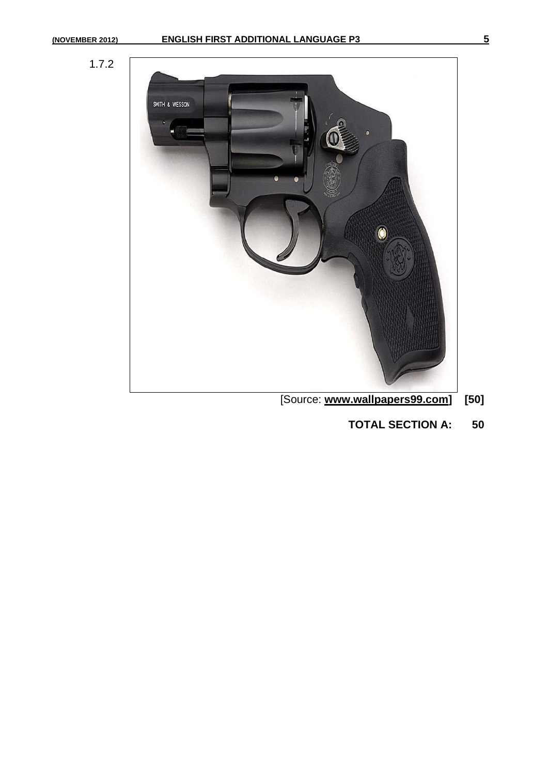



- [Source: **[www.wallpapers99.com\]](http://www.wallpapers99.com/) [50]**
	- **TOTAL SECTION A: 50**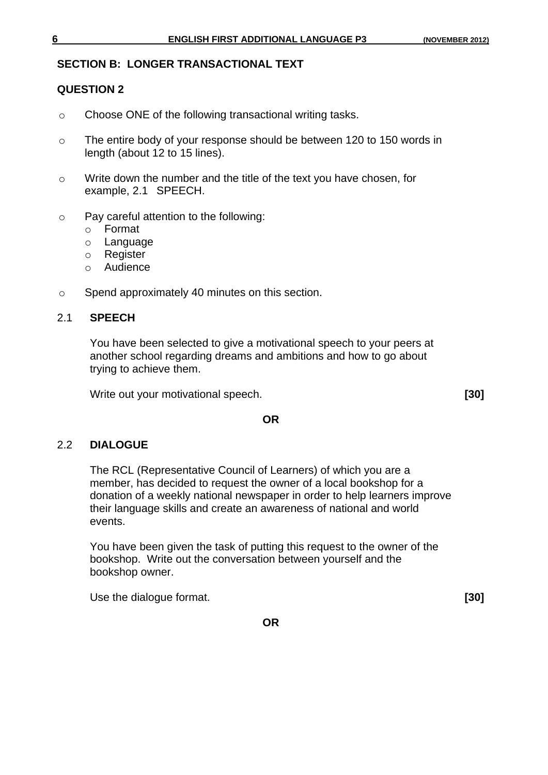### **SECTION B: LONGER TRANSACTIONAL TEXT**

### **QUESTION 2**

- o Choose ONE of the following transactional writing tasks.
- o The entire body of your response should be between 120 to 150 words in length (about 12 to 15 lines).
- o Write down the number and the title of the text you have chosen, for example, 2.1 SPEECH.
- o Pay careful attention to the following:
	- o Format
	- o Language
	- o Register
	- o Audience
- o Spend approximately 40 minutes on this section.

### 2.1 **SPEECH**

You have been selected to give a motivational speech to your peers at another school regarding dreams and ambitions and how to go about trying to achieve them.

Write out your motivational speech. **[30]**

### **OR**

### 2.2 **DIALOGUE**

The RCL (Representative Council of Learners) of which you are a member, has decided to request the owner of a local bookshop for a donation of a weekly national newspaper in order to help learners improve their language skills and create an awareness of national and world events.

You have been given the task of putting this request to the owner of the bookshop. Write out the conversation between yourself and the bookshop owner.

Use the dialogue format. **[30]**

**OR**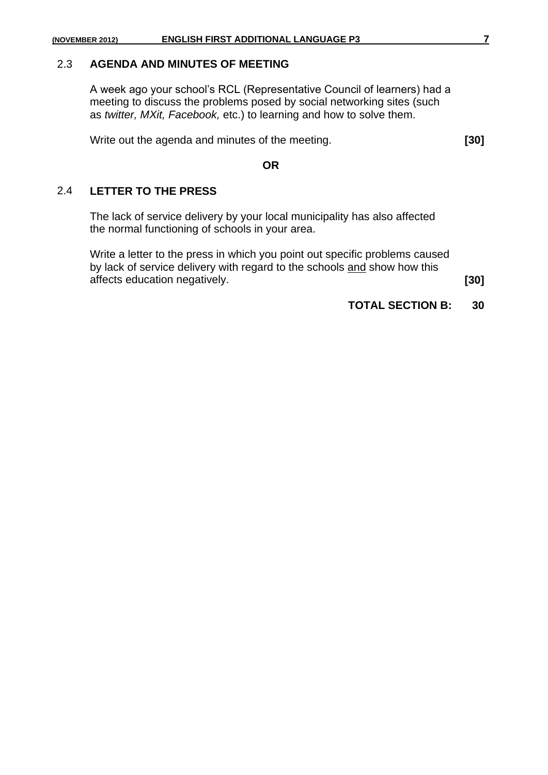### 2.3 **AGENDA AND MINUTES OF MEETING**

A week ago your school's RCL (Representative Council of learners) had a meeting to discuss the problems posed by social networking sites (such as *twitter, MXit, Facebook,* etc.) to learning and how to solve them.

Write out the agenda and minutes of the meeting. **[30]**

**OR**

### 2.4 **LETTER TO THE PRESS**

The lack of service delivery by your local municipality has also affected the normal functioning of schools in your area.

Write a letter to the press in which you point out specific problems caused by lack of service delivery with regard to the schools and show how this affects education negatively. **[30]**

**TOTAL SECTION B: 30**